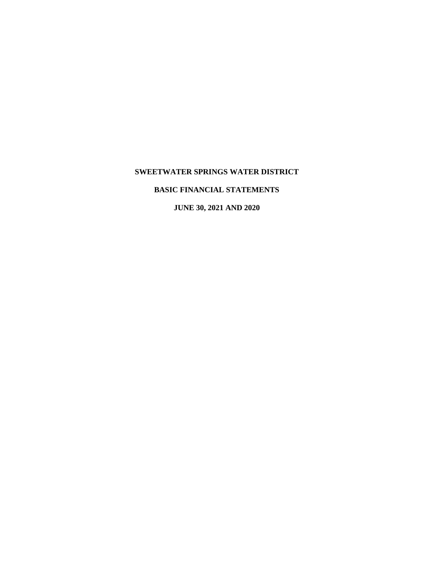## **SWEETWATER SPRINGS WATER DISTRICT**

## **BASIC FINANCIAL STATEMENTS**

**JUNE 30, 2021 AND 2020**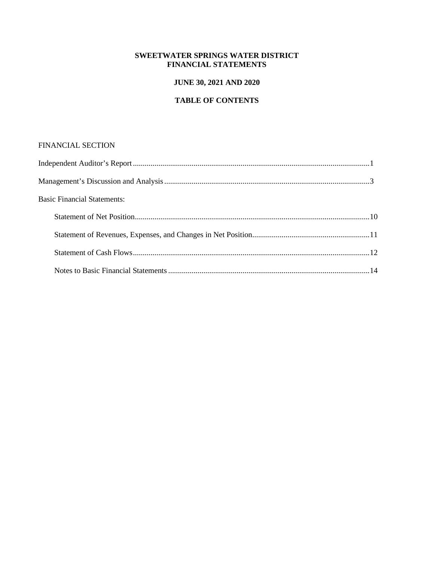## **SWEETWATER SPRINGS WATER DISTRICT FINANCIAL STATEMENTS**

## **JUNE 30, 2021 AND 2020**

## **TABLE OF CONTENTS**

## FINANCIAL SECTION

| <b>Basic Financial Statements:</b> |  |
|------------------------------------|--|
|                                    |  |
|                                    |  |
|                                    |  |
|                                    |  |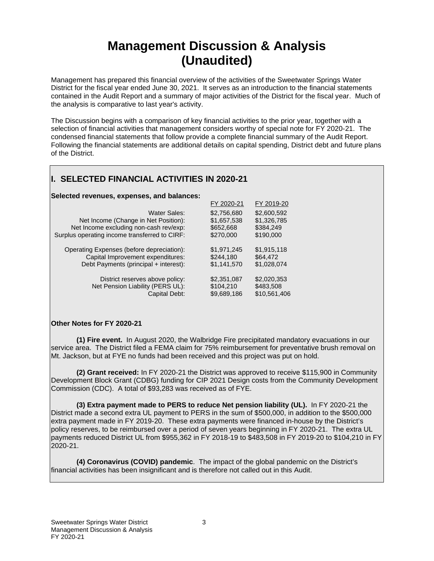# **Management Discussion & Analysis (Unaudited)**

Management has prepared this financial overview of the activities of the Sweetwater Springs Water District for the fiscal year ended June 30, 2021. It serves as an introduction to the financial statements contained in the Audit Report and a summary of major activities of the District for the fiscal year. Much of the analysis is comparative to last year's activity.

The Discussion begins with a comparison of key financial activities to the prior year, together with a selection of financial activities that management considers worthy of special note for FY 2020-21. The condensed financial statements that follow provide a complete financial summary of the Audit Report. Following the financial statements are additional details on capital spending, District debt and future plans of the District.

# **I. SELECTED FINANCIAL ACTIVITIES IN 2020-21**

#### **Selected revenues, expenses, and balances:**

|                                               | FY 2020-21  | FY 2019-20   |
|-----------------------------------------------|-------------|--------------|
| Water Sales:                                  | \$2,756,680 | \$2,600,592  |
| Net Income (Change in Net Position):          | \$1,657,538 | \$1,326,785  |
| Net Income excluding non-cash rev/exp:        | \$652,668   | \$384,249    |
| Surplus operating income transferred to CIRF: | \$270,000   | \$190,000    |
| Operating Expenses (before depreciation):     | \$1,971,245 | \$1,915,118  |
| Capital Improvement expenditures:             | \$244,180   | \$64,472     |
| Debt Payments (principal + interest):         | \$1,141,570 | \$1,028,074  |
| District reserves above policy:               | \$2,351,087 | \$2,020,353  |
| Net Pension Liability (PERS UL):              | \$104,210   | \$483,508    |
| Capital Debt:                                 | \$9.689.186 | \$10,561,406 |

#### **Other Notes for FY 2020-21**

**(1) Fire event.** In August 2020, the Walbridge Fire precipitated mandatory evacuations in our service area. The District filed a FEMA claim for 75% reimbursement for preventative brush removal on Mt. Jackson, but at FYE no funds had been received and this project was put on hold.

**(2) Grant received:** In FY 2020-21 the District was approved to receive \$115,900 in Community Development Block Grant (CDBG) funding for CIP 2021 Design costs from the Community Development Commission (CDC). A total of \$93,283 was received as of FYE.

**(3) Extra payment made to PERS to reduce Net pension liability (UL).** In FY 2020-21 the District made a second extra UL payment to PERS in the sum of \$500,000, in addition to the \$500,000 extra payment made in FY 2019-20. These extra payments were financed in-house by the District's policy reserves, to be reimbursed over a period of seven years beginning in FY 2020-21. The extra UL payments reduced District UL from \$955,362 in FY 2018-19 to \$483,508 in FY 2019-20 to \$104,210 in FY 2020-21.

**(4) Coronavirus (COVID) pandemic**. The impact of the global pandemic on the District's financial activities has been insignificant and is therefore not called out in this Audit.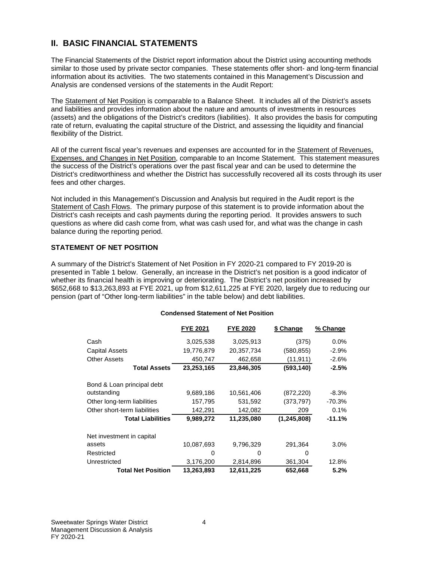## **II. BASIC FINANCIAL STATEMENTS**

The Financial Statements of the District report information about the District using accounting methods similar to those used by private sector companies. These statements offer short- and long-term financial information about its activities. The two statements contained in this Management's Discussion and Analysis are condensed versions of the statements in the Audit Report:

The Statement of Net Position is comparable to a Balance Sheet. It includes all of the District's assets and liabilities and provides information about the nature and amounts of investments in resources (assets) and the obligations of the District's creditors (liabilities). It also provides the basis for computing rate of return, evaluating the capital structure of the District, and assessing the liquidity and financial flexibility of the District.

All of the current fiscal year's revenues and expenses are accounted for in the Statement of Revenues, Expenses, and Changes in Net Position, comparable to an Income Statement. This statement measures the success of the District's operations over the past fiscal year and can be used to determine the District's creditworthiness and whether the District has successfully recovered all its costs through its user fees and other charges.

Not included in this Management's Discussion and Analysis but required in the Audit report is the Statement of Cash Flows. The primary purpose of this statement is to provide information about the District's cash receipts and cash payments during the reporting period. It provides answers to such questions as where did cash come from, what was cash used for, and what was the change in cash balance during the reporting period.

#### **STATEMENT OF NET POSITION**

A summary of the District's Statement of Net Position in FY 2020-21 compared to FY 2019-20 is presented in Table 1 below. Generally, an increase in the District's net position is a good indicator of whether its financial health is improving or deteriorating. The District's net position increased by \$652,668 to \$13,263,893 at FYE 2021, up from \$12,611,225 at FYE 2020, largely due to reducing our pension (part of "Other long-term liabilities" in the table below) and debt liabilities.

#### **Condensed Statement of Net Position**

|                              | <b>FYE 2021</b> | <b>FYE 2020</b> | \$ Change     | % Change |
|------------------------------|-----------------|-----------------|---------------|----------|
| Cash                         | 3,025,538       | 3,025,913       | (375)         | $0.0\%$  |
| Capital Assets               | 19,776,879      | 20,357,734      | (580, 855)    | $-2.9%$  |
| <b>Other Assets</b>          | 450,747         | 462,658         | (11, 911)     | $-2.6%$  |
| <b>Total Assets</b>          | 23,253,165      | 23,846,305      | (593, 140)    | $-2.5%$  |
| Bond & Loan principal debt   |                 |                 |               |          |
| outstanding                  | 9,689,186       | 10,561,406      | (872, 220)    | $-8.3\%$ |
| Other long-term liabilities  | 157,795         | 531,592         | (373, 797)    | -70.3%   |
| Other short-term liabilities | 142,291         | 142,082         | 209           | 0.1%     |
| <b>Total Liabilities</b>     | 9,989,272       | 11,235,080      | (1, 245, 808) | $-11.1%$ |
| Net investment in capital    |                 |                 |               |          |
| assets                       | 10,087,693      | 9,796,329       | 291.364       | 3.0%     |
| Restricted                   | 0               | 0               | O             |          |
| Unrestricted                 | 3,176,200       | 2,814,896       | 361,304       | 12.8%    |
| <b>Total Net Position</b>    | 13,263,893      | 12,611,225      | 652,668       | 5.2%     |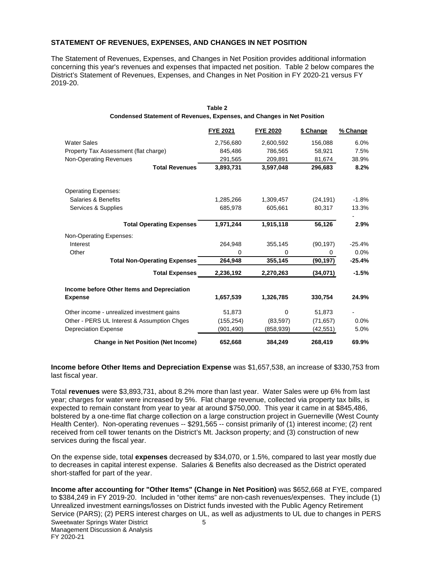#### **STATEMENT OF REVENUES, EXPENSES, AND CHANGES IN NET POSITION**

The Statement of Revenues, Expenses, and Changes in Net Position provides additional information concerning this year's revenues and expenses that impacted net position. Table 2 below compares the District's Statement of Revenues, Expenses, and Changes in Net Position in FY 2020-21 versus FY 2019-20.

|                                             | <b>FYE 2021</b> | <b>FYE 2020</b> | \$ Change | % Change |
|---------------------------------------------|-----------------|-----------------|-----------|----------|
| <b>Water Sales</b>                          | 2,756,680       | 2,600,592       | 156,088   | 6.0%     |
| Property Tax Assessment (flat charge)       | 845.486         | 786,565         | 58,921    | 7.5%     |
| Non-Operating Revenues                      | 291,565         | 209,891         | 81,674    | 38.9%    |
| <b>Total Revenues</b>                       | 3,893,731       | 3,597,048       | 296.683   | 8.2%     |
| <b>Operating Expenses:</b>                  |                 |                 |           |          |
| Salaries & Benefits                         | 1,285,266       | 1,309,457       | (24, 191) | $-1.8%$  |
| Services & Supplies                         | 685.978         | 605,661         | 80,317    | 13.3%    |
| <b>Total Operating Expenses</b>             | 1.971.244       | 1,915,118       | 56,126    | 2.9%     |
| Non-Operating Expenses:                     |                 |                 |           |          |
| Interest                                    | 264,948         | 355,145         | (90, 197) | -25.4%   |
| Other                                       | 0               | 0               | 0         | $0.0\%$  |
| <b>Total Non-Operating Expenses</b>         | 264.948         | 355,145         | (90, 197) | $-25.4%$ |
| <b>Total Expenses</b>                       | 2,236,192       | 2,270,263       | (34,071)  | $-1.5%$  |
| Income before Other Items and Depreciation  |                 |                 |           |          |
| <b>Expense</b>                              | 1,657,539       | 1,326,785       | 330,754   | 24.9%    |
| Other income - unrealized investment gains  | 51,873          | 0               | 51,873    |          |
| Other - PERS UL Interest & Assumption Chges | (155, 254)      | (83, 597)       | (71, 657) | $0.0\%$  |
| <b>Depreciation Expense</b>                 | (901, 490)      | (858,939)       | (42, 551) | 5.0%     |
| <b>Change in Net Position (Net Income)</b>  | 652,668         | 384,249         | 268,419   | 69.9%    |

#### **Condensed Statement of Revenues, Expenses, and Changes in Net Position Table 2**

**Income before Other Items and Depreciation Expense** was \$1,657,538, an increase of \$330,753 from last fiscal year.

Total **revenues** were \$3,893,731, about 8.2% more than last year. Water Sales were up 6% from last year; charges for water were increased by 5%. Flat charge revenue, collected via property tax bills, is expected to remain constant from year to year at around \$750,000. This year it came in at \$845,486, bolstered by a one-time flat charge collection on a large construction project in Guerneville (West County Health Center). Non-operating revenues -- \$291,565 -- consist primarily of (1) interest income; (2) rent received from cell tower tenants on the District's Mt. Jackson property; and (3) construction of new services during the fiscal year.

On the expense side, total **expenses** decreased by \$34,070, or 1.5%, compared to last year mostly due to decreases in capital interest expense. Salaries & Benefits also decreased as the District operated short-staffed for part of the year.

Sweetwater Springs Water District 5 Management Discussion & Analysis FY 2020-21 **Income after accounting for "Other Items" (Change in Net Position)** was \$652,668 at FYE, compared to \$384,249 in FY 2019-20. Included in "other items" are non-cash revenues/expenses. They include (1) Unrealized investment earnings/losses on District funds invested with the Public Agency Retirement Service (PARS); (2) PERS interest charges on UL, as well as adjustments to UL due to changes in PERS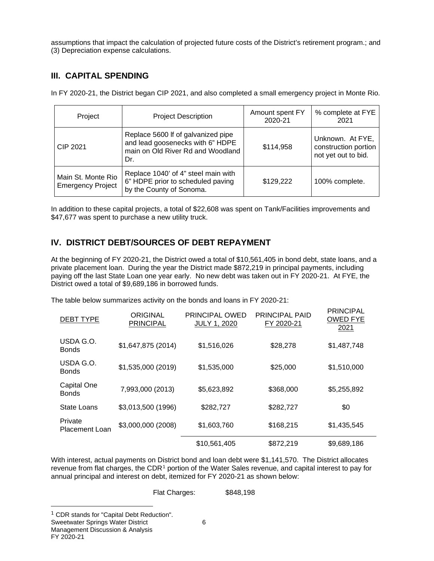assumptions that impact the calculation of projected future costs of the District's retirement program.; and (3) Depreciation expense calculations.

## **III. CAPITAL SPENDING**

In FY 2020-21, the District began CIP 2021, and also completed a small emergency project in Monte Rio.

| Project                                        | Amount spent FY<br><b>Project Description</b><br>2020-21                                                           |           | % complete at FYE<br>2021                                       |
|------------------------------------------------|--------------------------------------------------------------------------------------------------------------------|-----------|-----------------------------------------------------------------|
| CIP 2021                                       | Replace 5600 If of galvanized pipe<br>and lead goosenecks with 6" HDPE<br>main on Old River Rd and Woodland<br>Dr. | \$114,958 | Unknown. At FYE,<br>construction portion<br>not yet out to bid. |
| Main St. Monte Rio<br><b>Emergency Project</b> | Replace 1040' of 4" steel main with<br>6" HDPE prior to scheduled paving<br>by the County of Sonoma.               | \$129,222 | 100% complete.                                                  |

In addition to these capital projects, a total of \$22,608 was spent on Tank/Facilities improvements and \$47,677 was spent to purchase a new utility truck.

## **IV. DISTRICT DEBT/SOURCES OF DEBT REPAYMENT**

At the beginning of FY 2020-21, the District owed a total of \$10,561,405 in bond debt, state loans, and a private placement loan. During the year the District made \$872,219 in principal payments, including paying off the last State Loan one year early. No new debt was taken out in FY 2020-21. At FYE, the District owed a total of \$9,689,186 in borrowed funds.

The table below summarizes activity on the bonds and loans in FY 2020-21:

| <b>DEBT TYPE</b>                 | ORIGINAL<br><b>PRINCIPAL</b> | PRINCIPAL OWED<br><b>JULY 1, 2020</b> | <b>PRINCIPAL PAID</b><br>FY 2020-21 | <b>PRINCIPAL</b><br><b>OWED FYE</b><br>2021 |
|----------------------------------|------------------------------|---------------------------------------|-------------------------------------|---------------------------------------------|
| USDA G.O.<br><b>Bonds</b>        | \$1,647,875 (2014)           | \$1,516,026                           | \$28,278                            | \$1,487,748                                 |
| USDA G.O.<br><b>Bonds</b>        | \$1,535,000 (2019)           | \$1,535,000                           | \$25,000                            | \$1,510,000                                 |
| Capital One<br><b>Bonds</b>      | 7,993,000 (2013)             | \$5,623,892                           | \$368,000                           | \$5,255,892                                 |
| State Loans                      | \$3,013,500 (1996)           | \$282,727                             | \$282,727                           | \$0                                         |
| Private<br><b>Placement Loan</b> | \$3,000,000 (2008)           | \$1,603,760                           | \$168,215                           | \$1,435,545                                 |
|                                  |                              | \$10,561,405                          | \$872,219                           | \$9,689,186                                 |

With interest, actual payments on District bond and loan debt were \$1,141,570. The District allocates revenue from flat charges, the CDR<sup>[1](#page-5-0)</sup> portion of the Water Sales revenue, and capital interest to pay for annual principal and interest on debt, itemized for FY 2020-21 as shown below:

Flat Charges: \$848,198

Sweetwater Springs Water District 6 Management Discussion & Analysis

<span id="page-5-0"></span><sup>&</sup>lt;sup>1</sup> CDR stands for "Capital Debt Reduction".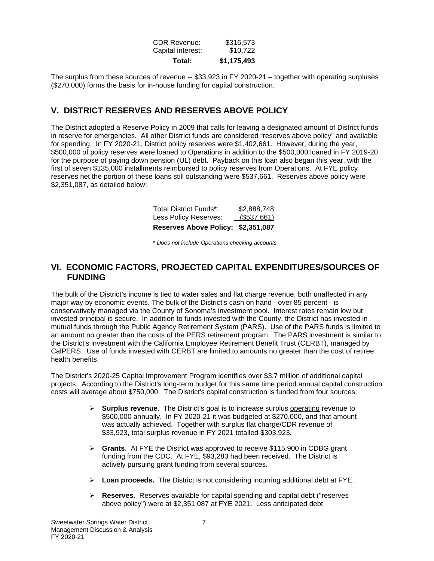| \$1,175,493 |
|-------------|
| \$10,722    |
| \$316,573   |
|             |

The surplus from these sources of revenue -- \$33,923 in FY 2020-21 – together with operating surpluses (\$270,000) forms the basis for in-house funding for capital construction.

## **V. DISTRICT RESERVES AND RESERVES ABOVE POLICY**

The District adopted a Reserve Policy in 2009 that calls for leaving a designated amount of District funds in reserve for emergencies. All other District funds are considered "reserves above policy" and available for spending. In FY 2020-21, District policy reserves were \$1,402,661. However, during the year, \$500,000 of policy reserves were loaned to Operations in addition to the \$500,000 loaned in FY 2019-20 for the purpose of paying down pension (UL) debt. Payback on this loan also began this year, with the first of seven \$135,000 installments reimbursed to policy reserves from Operations. At FYE policy reserves net the portion of these loans still outstanding were \$537,661. Reserves above policy were \$2,351,087, as detailed below:

| Reserves Above Policy: \$2,351,087 |             |
|------------------------------------|-------------|
| Less Policy Reserves:              | (\$537,661) |
| Total District Funds*:             | \$2,888,748 |

\* *Does not include Operations checking accounts*

## **VI. ECONOMIC FACTORS, PROJECTED CAPITAL EXPENDITURES/SOURCES OF FUNDING**

The bulk of the District's income is tied to water sales and flat charge revenue, both unaffected in any major way by economic events. The bulk of the District's cash on hand - over 85 percent - is conservatively managed via the County of Sonoma's investment pool. Interest rates remain low but invested principal is secure. In addition to funds invested with the County, the District has invested in mutual funds through the Public Agency Retirement System (PARS). Use of the PARS funds is limited to an amount no greater than the costs of the PERS retirement program. The PARS investment is similar to the District's investment with the California Employee Retirement Benefit Trust (CERBT), managed by CalPERS. Use of funds invested with CERBT are limited to amounts no greater than the cost of retiree health benefits.

The District's 2020-25 Capital Improvement Program identifies over \$3.7 million of additional capital projects. According to the District's long-term budget for this same time period annual capital construction costs will average about \$750,000. The District's capital construction is funded from four sources:

- **►** Surplus revenue. The District's goal is to increase surplus operating revenue to \$500,000 annually. In FY 2020-21 it was budgeted at \$270,000, and that amount was actually achieved. Together with surplus flat charge/CDR revenue of \$33,923, total surplus revenue in FY 2021 totalled \$303,923.
- **Grants**. At FYE the District was approved to receive \$115,900 in CDBG grant funding from the CDC. At FYE, \$93,283 had been received. The District is actively pursuing grant funding from several sources.
- **Loan proceeds.** The District is not considering incurring additional debt at FYE.
- **Reserves.** Reserves available for capital spending and capital debt ("reserves above policy") were at \$2,351,087 at FYE 2021. Less anticipated debt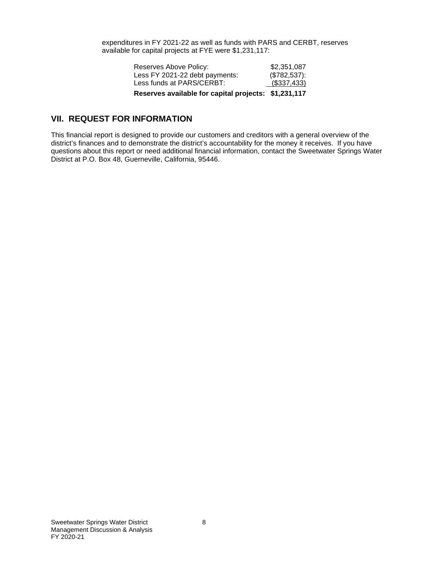expenditures in FY 2021-22 as well as funds with PARS and CERBT, reserves available for capital projects at FYE were \$1,231,117:

| Reserves available for capital projects: \$1,231,117 |              |
|------------------------------------------------------|--------------|
| Less funds at PARS/CERBT:                            | (\$337,433)  |
| Less FY 2021-22 debt payments:                       | (\$782,537): |
| Reserves Above Policy:                               | \$2,351,087  |

## **VII. REQUEST FOR INFORMATION**

This financial report is designed to provide our customers and creditors with a general overview of the district's finances and to demonstrate the district's accountability for the money it receives. If you have questions about this report or need additional financial information, contact the Sweetwater Springs Water District at P.O. Box 48, Guerneville, California, 95446.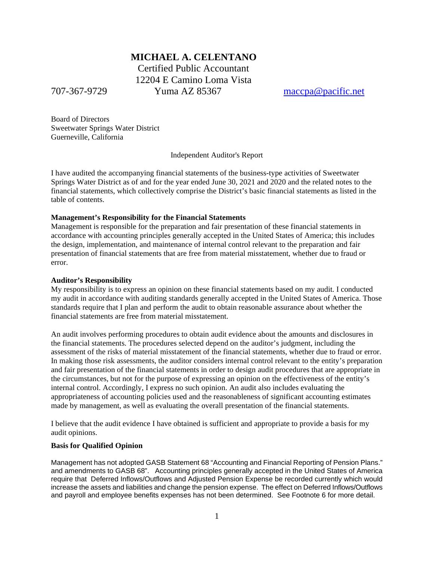## **MICHAEL A. CELENTANO**

 Certified Public Accountant 12204 E Camino Loma Vista 707-367-9729 Yuma AZ 85367 [maccpa@pacific.net](mailto:maccpa@pacific.net)

Board of Directors Sweetwater Springs Water District Guerneville, California

Independent Auditor's Report

I have audited the accompanying financial statements of the business-type activities of Sweetwater Springs Water District as of and for the year ended June 30, 2021 and 2020 and the related notes to the financial statements, which collectively comprise the District's basic financial statements as listed in the table of contents.

#### **Management's Responsibility for the Financial Statements**

Management is responsible for the preparation and fair presentation of these financial statements in accordance with accounting principles generally accepted in the United States of America; this includes the design, implementation, and maintenance of internal control relevant to the preparation and fair presentation of financial statements that are free from material misstatement, whether due to fraud or error.

#### **Auditor's Responsibility**

My responsibility is to express an opinion on these financial statements based on my audit. I conducted my audit in accordance with auditing standards generally accepted in the United States of America. Those standards require that I plan and perform the audit to obtain reasonable assurance about whether the financial statements are free from material misstatement.

An audit involves performing procedures to obtain audit evidence about the amounts and disclosures in the financial statements. The procedures selected depend on the auditor's judgment, including the assessment of the risks of material misstatement of the financial statements, whether due to fraud or error. In making those risk assessments, the auditor considers internal control relevant to the entity's preparation and fair presentation of the financial statements in order to design audit procedures that are appropriate in the circumstances, but not for the purpose of expressing an opinion on the effectiveness of the entity's internal control. Accordingly, I express no such opinion. An audit also includes evaluating the appropriateness of accounting policies used and the reasonableness of significant accounting estimates made by management, as well as evaluating the overall presentation of the financial statements.

I believe that the audit evidence I have obtained is sufficient and appropriate to provide a basis for my audit opinions.

## **Basis for Qualified Opinion**

Management has not adopted GASB Statement 68 "Accounting and Financial Reporting of Pension Plans." and amendments to GASB 68". Accounting principles generally accepted in the United States of America require that Deferred Inflows/Outflows and Adjusted Pension Expense be recorded currently which would increase the assets and liabilities and change the pension expense. The effect on Deferred Inflows/Outflows and payroll and employee benefits expenses has not been determined. See Footnote 6 for more detail.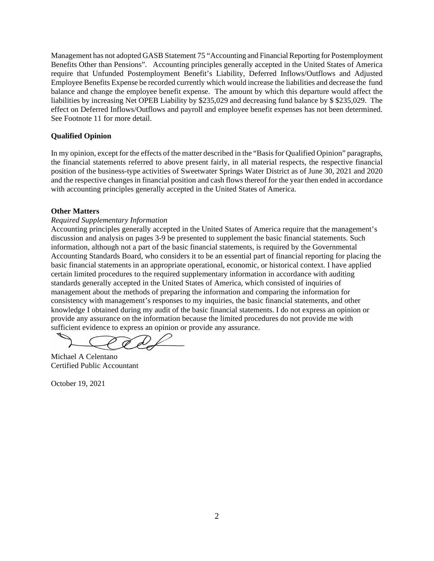Management has not adopted GASB Statement 75 "Accounting and Financial Reporting for Postemployment Benefits Other than Pensions". Accounting principles generally accepted in the United States of America require that Unfunded Postemployment Benefit's Liability, Deferred Inflows/Outflows and Adjusted Employee Benefits Expense be recorded currently which would increase the liabilities and decrease the fund balance and change the employee benefit expense. The amount by which this departure would affect the liabilities by increasing Net OPEB Liability by \$235,029 and decreasing fund balance by \$ \$235,029. The effect on Deferred Inflows/Outflows and payroll and employee benefit expenses has not been determined. See Footnote 11 for more detail.

#### **Qualified Opinion**

In my opinion, except for the effects of the matter described in the "Basis for Qualified Opinion" paragraphs, the financial statements referred to above present fairly, in all material respects, the respective financial position of the business-type activities of Sweetwater Springs Water District as of June 30, 2021 and 2020 and the respective changes in financial position and cash flows thereof for the year then ended in accordance with accounting principles generally accepted in the United States of America.

#### **Other Matters**

## *Required Supplementary Information*

Accounting principles generally accepted in the United States of America require that the management's discussion and analysis on pages 3-9 be presented to supplement the basic financial statements. Such information, although not a part of the basic financial statements, is required by the Governmental Accounting Standards Board, who considers it to be an essential part of financial reporting for placing the basic financial statements in an appropriate operational, economic, or historical context. I have applied certain limited procedures to the required supplementary information in accordance with auditing standards generally accepted in the United States of America, which consisted of inquiries of management about the methods of preparing the information and comparing the information for consistency with management's responses to my inquiries, the basic financial statements, and other knowledge I obtained during my audit of the basic financial statements. I do not express an opinion or provide any assurance on the information because the limited procedures do not provide me with sufficient evidence to express an opinion or provide any assurance.

Michael A Celentano Certified Public Accountant

October 19, 2021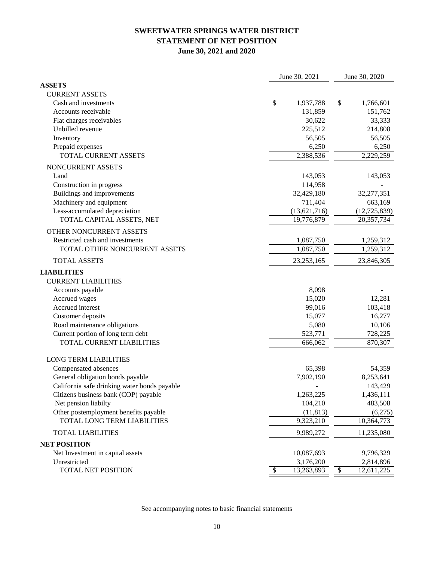## **SWEETWATER SPRINGS WATER DISTRICT STATEMENT OF NET POSITION June 30, 2021 and 2020**

|                                              |                 | June 30, 2021          |                          | June 30, 2020  |  |
|----------------------------------------------|-----------------|------------------------|--------------------------|----------------|--|
| <b>ASSETS</b>                                |                 |                        |                          |                |  |
| <b>CURRENT ASSETS</b>                        |                 |                        |                          |                |  |
| Cash and investments                         | \$              | 1,937,788              | \$                       | 1,766,601      |  |
| Accounts receivable                          |                 | 131,859                |                          | 151,762        |  |
| Flat charges receivables                     |                 | 30,622                 |                          | 33,333         |  |
| Unbilled revenue                             |                 | 225,512                |                          | 214,808        |  |
| Inventory                                    |                 | 56,505                 |                          | 56,505         |  |
| Prepaid expenses                             |                 | 6,250                  |                          | 6,250          |  |
| TOTAL CURRENT ASSETS                         |                 | 2,388,536              |                          | 2,229,259      |  |
| NONCURRENT ASSETS                            |                 |                        |                          |                |  |
| Land                                         |                 | 143,053                |                          | 143,053        |  |
| Construction in progress                     |                 | 114,958                |                          |                |  |
| Buildings and improvements                   |                 | 32,429,180             |                          | 32,277,351     |  |
| Machinery and equipment                      |                 | 711,404                |                          | 663,169        |  |
| Less-accumulated depreciation                |                 | (13,621,716)           |                          | (12, 725, 839) |  |
| TOTAL CAPITAL ASSETS, NET                    |                 | 19,776,879             |                          | 20,357,734     |  |
| OTHER NONCURRENT ASSETS                      |                 |                        |                          |                |  |
| Restricted cash and investments              |                 | 1,087,750              |                          | 1,259,312      |  |
| TOTAL OTHER NONCURRENT ASSETS                |                 | $\overline{1,}087,750$ |                          | 1,259,312      |  |
| <b>TOTAL ASSETS</b>                          |                 | 23, 253, 165           |                          | 23,846,305     |  |
| <b>LIABILITIES</b>                           |                 |                        |                          |                |  |
| <b>CURRENT LIABILITIES</b>                   |                 |                        |                          |                |  |
| Accounts payable                             |                 | 8,098                  |                          |                |  |
| Accrued wages                                |                 | 15,020                 |                          | 12,281         |  |
| Accrued interest                             |                 | 99,016                 |                          | 103,418        |  |
| Customer deposits                            |                 | 15,077                 |                          | 16,277         |  |
| Road maintenance obligations                 |                 | 5,080                  |                          | 10,106         |  |
| Current portion of long term debt            |                 | 523,771                |                          | 728,225        |  |
| TOTAL CURRENT LIABILITIES                    |                 | 666,062                |                          | 870,307        |  |
| <b>LONG TERM LIABILITIES</b>                 |                 |                        |                          |                |  |
| Compensated absences                         |                 | 65,398                 |                          | 54,359         |  |
| General obligation bonds payable             |                 | 7,902,190              |                          | 8,253,641      |  |
| California safe drinking water bonds payable |                 |                        |                          | 143,429        |  |
| Citizens business bank (COP) payable         |                 | 1,263,225              |                          | 1,436,111      |  |
| Net pension liabilty                         |                 | 104,210                |                          | 483,508        |  |
| Other postemployment benefits payable        |                 | (11, 813)              |                          | (6,275)        |  |
| TOTAL LONG TERM LIABILITIES                  |                 | 9,323,210              |                          | 10,364,773     |  |
| <b>TOTAL LIABILITIES</b>                     |                 | 9,989,272              |                          | 11,235,080     |  |
| <b>NET POSITION</b>                          |                 |                        |                          |                |  |
| Net Investment in capital assets             |                 | 10,087,693             |                          | 9,796,329      |  |
| Unrestricted                                 |                 | 3,176,200              |                          | 2,814,896      |  |
| TOTAL NET POSITION                           | $\overline{\$}$ | 13,263,893             | $\overline{\mathcal{S}}$ | 12,611,225     |  |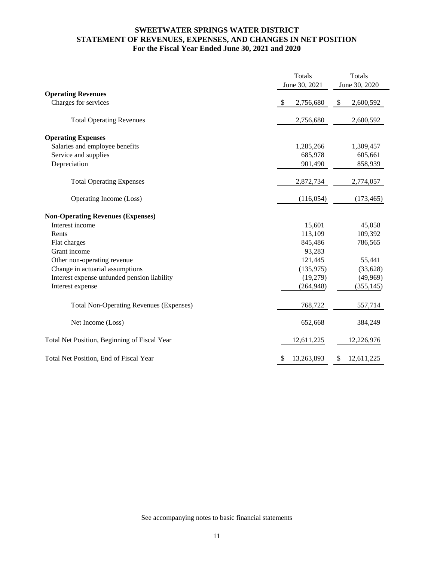## **For the Fiscal Year Ended June 30, 2021 and 2020 STATEMENT OF REVENUES, EXPENSES, AND CHANGES IN NET POSITION SWEETWATER SPRINGS WATER DISTRICT**

|                                                | Totals           | Totals           |
|------------------------------------------------|------------------|------------------|
|                                                | June 30, 2021    | June 30, 2020    |
| <b>Operating Revenues</b>                      |                  |                  |
| Charges for services                           | 2,756,680<br>\$  | 2,600,592<br>\$  |
| <b>Total Operating Revenues</b>                | 2,756,680        | 2,600,592        |
| <b>Operating Expenses</b>                      |                  |                  |
| Salaries and employee benefits                 | 1,285,266        | 1,309,457        |
| Service and supplies                           | 685,978          | 605,661          |
| Depreciation                                   | 901,490          | 858,939          |
| <b>Total Operating Expenses</b>                | 2,872,734        | 2,774,057        |
| Operating Income (Loss)                        | (116, 054)       | (173, 465)       |
| <b>Non-Operating Revenues (Expenses)</b>       |                  |                  |
| Interest income                                | 15,601           | 45,058           |
| Rents                                          | 113,109          | 109,392          |
| Flat charges                                   | 845,486          | 786,565          |
| Grant income                                   | 93,283           |                  |
| Other non-operating revenue                    | 121,445          | 55,441           |
| Change in actuarial assumptions                | (135, 975)       | (33, 628)        |
| Interest expense unfunded pension liability    | (19,279)         | (49,969)         |
| Interest expense                               | (264, 948)       | (355, 145)       |
| <b>Total Non-Operating Revenues (Expenses)</b> | 768,722          | 557,714          |
| Net Income (Loss)                              | 652,668          | 384,249          |
| Total Net Position, Beginning of Fiscal Year   | 12,611,225       | 12,226,976       |
| Total Net Position, End of Fiscal Year         | 13,263,893<br>S. | 12,611,225<br>\$ |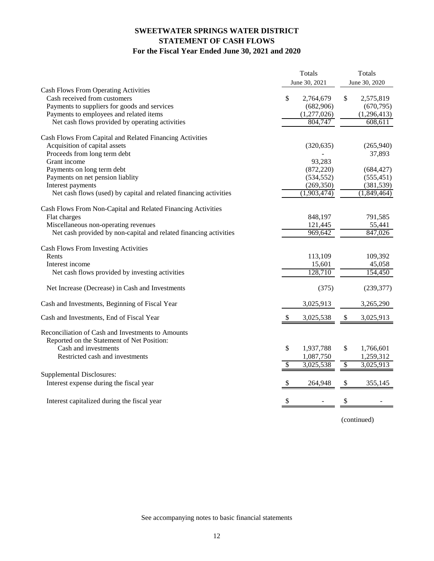## **SWEETWATER SPRINGS WATER DISTRICT STATEMENT OF CASH FLOWS For the Fiscal Year Ended June 30, 2021 and 2020**

|                                                                   |                           | Totals<br>June 30, 2021 | <b>Totals</b><br>June 30, 2020 |
|-------------------------------------------------------------------|---------------------------|-------------------------|--------------------------------|
| <b>Cash Flows From Operating Activities</b>                       |                           |                         |                                |
| Cash received from customers                                      | \$                        | 2,764,679               | \$<br>2,575,819                |
| Payments to suppliers for goods and services                      |                           | (682,906)               | (670, 795)                     |
| Payments to employees and related items                           |                           | (1,277,026)             | (1, 296, 413)                  |
| Net cash flows provided by operating activities                   |                           | 804,747                 | 608,611                        |
| Cash Flows From Capital and Related Financing Activities          |                           |                         |                                |
| Acquisition of capital assets                                     |                           | (320, 635)              | (265,940)                      |
| Proceeds from long term debt                                      |                           |                         | 37,893                         |
| Grant income                                                      |                           | 93,283                  |                                |
| Payments on long term debt                                        |                           | (872, 220)              | (684, 427)                     |
| Payments on net pension liablity                                  |                           | (534, 552)              | (555, 451)                     |
| Interest payments                                                 |                           | (269, 350)              | (381, 539)                     |
| Net cash flows (used) by capital and related financing activities |                           | (1,903,474)             | (1,849,464)                    |
| Cash Flows From Non-Capital and Related Financing Activities      |                           |                         |                                |
| Flat charges                                                      |                           | 848,197                 | 791,585                        |
| Miscellaneous non-operating revenues                              |                           | 121,445                 | 55,441                         |
| Net cash provided by non-capital and related financing activities |                           | 969,642                 | 847,026                        |
| <b>Cash Flows From Investing Activities</b>                       |                           |                         |                                |
| Rents                                                             |                           | 113,109                 | 109,392                        |
| Interest income                                                   |                           | 15,601                  | 45,058                         |
| Net cash flows provided by investing activities                   |                           | 128,710                 | 154,450                        |
| Net Increase (Decrease) in Cash and Investments                   |                           | (375)                   | (239, 377)                     |
| Cash and Investments, Beginning of Fiscal Year                    |                           | 3,025,913               | 3,265,290                      |
| Cash and Investments, End of Fiscal Year                          | $\boldsymbol{\mathsf{S}}$ | 3,025,538               | \$<br>3,025,913                |
| Reconciliation of Cash and Investments to Amounts                 |                           |                         |                                |
| Reported on the Statement of Net Position:                        |                           |                         |                                |
| Cash and investments                                              | \$                        | 1,937,788               | \$<br>1,766,601                |
| Restricted cash and investments                                   |                           | 1,087,750               | 1,259,312                      |
|                                                                   | \$                        | 3,025,538               | \$<br>3,025,913                |
| <b>Supplemental Disclosures:</b>                                  |                           |                         |                                |
| Interest expense during the fiscal year                           | \$                        | 264,948                 | \$<br>355,145                  |
| Interest capitalized during the fiscal year                       | \$                        |                         |                                |
|                                                                   |                           |                         |                                |

(continued)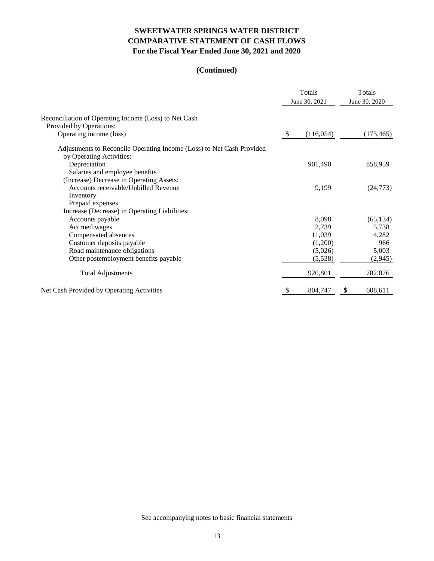## **SWEETWATER SPRINGS WATER DISTRICT COMPARATIVE STATEMENT OF CASH FLOWS For the Fiscal Year Ended June 30, 2021 and 2020**

## **(Continued)**

|                                                                       |               | Totals<br>June 30, 2021 | Totals<br>June 30, 2020 |            |
|-----------------------------------------------------------------------|---------------|-------------------------|-------------------------|------------|
| Reconciliation of Operating Income (Loss) to Net Cash                 |               |                         |                         |            |
| Provided by Operations:                                               |               |                         |                         |            |
| Operating income (loss)                                               | $\mathcal{L}$ | (116, 054)              |                         | (173, 465) |
| Adjustments to Reconcile Operating Income (Loss) to Net Cash Provided |               |                         |                         |            |
| by Operating Activities:                                              |               |                         |                         |            |
| Depreciation                                                          |               | 901,490                 |                         | 858,959    |
| Salaries and employee benefits                                        |               |                         |                         |            |
| (Increase) Decrease in Operating Assets:                              |               |                         |                         |            |
| Accounts receivable/Unbilled Revenue                                  |               | 9,199                   |                         | (24, 773)  |
| Inventory                                                             |               |                         |                         |            |
| Prepaid expenses                                                      |               |                         |                         |            |
| Increase (Decrease) in Operating Liabilities:                         |               |                         |                         |            |
| Accounts payable                                                      |               | 8,098                   |                         | (65, 134)  |
| Accrued wages                                                         |               | 2,739                   |                         | 5,738      |
| Compensated absences                                                  |               | 11,039                  |                         | 4,282      |
| Customer deposits payable                                             |               | (1,200)                 |                         | 966        |
| Road maintenance obligations                                          |               | (5,026)                 |                         | 5,003      |
| Other postemployment benefits payable                                 |               | (5,538)                 |                         | (2,945)    |
| <b>Total Adjustments</b>                                              |               | 920,801                 |                         | 782,076    |
| Net Cash Provided by Operating Activities                             | S             | 804,747                 | \$                      | 608,611    |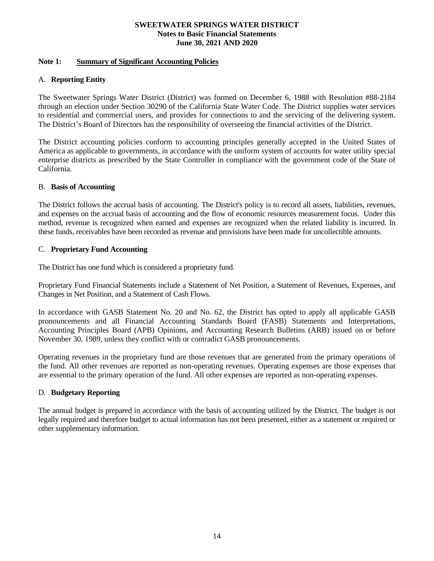#### **Note 1: Summary of Significant Accounting Policies**

#### A. **Reporting Entity**

The Sweetwater Springs Water District (District) was formed on December 6, 1988 with Resolution #88-2184 through an election under Section 30290 of the California State Water Code. The District supplies water services to residential and commercial users, and provides for connections to and the servicing of the delivering system. The District's Board of Directors has the responsibility of overseeing the financial activities of the District.

The District accounting policies conform to accounting principles generally accepted in the United States of America as applicable to governments, in accordance with the uniform system of accounts for water utility special enterprise districts as prescribed by the State Controller in compliance with the government code of the State of California.

#### B. **Basis of Accounting**

The District follows the accrual basis of accounting. The District's policy is to record all assets, liabilities, revenues, and expenses on the accrual basis of accounting and the flow of economic resources measurement focus. Under this method, revenue is recognized when earned and expenses are recognized when the related liability is incurred. In these funds, receivables have been recorded as revenue and provisions have been made for uncollectible amounts.

#### C. **Proprietary Fund Accounting**

The District has one fund which is considered a proprietary fund.

Proprietary Fund Financial Statements include a Statement of Net Position, a Statement of Revenues, Expenses, and Changes in Net Position, and a Statement of Cash Flows.

In accordance with GASB Statement No. 20 and No. 62, the District has opted to apply all applicable GASB pronouncements and all Financial Accounting Standards Board (FASB) Statements and Interpretations, Accounting Principles Board (APB) Opinions, and Accounting Research Bulletins (ARB) issued on or before November 30, 1989, unless they conflict with or contradict GASB pronouncements.

Operating revenues in the proprietary fund are those revenues that are generated from the primary operations of the fund. All other revenues are reported as non-operating revenues. Operating expenses are those expenses that are essential to the primary operation of the fund. All other expenses are reported as non-operating expenses.

#### D. **Budgetary Reporting**

The annual budget is prepared in accordance with the basis of accounting utilized by the District. The budget is not legally required and therefore budget to actual information has not been presented, either as a statement or required or other supplementary information.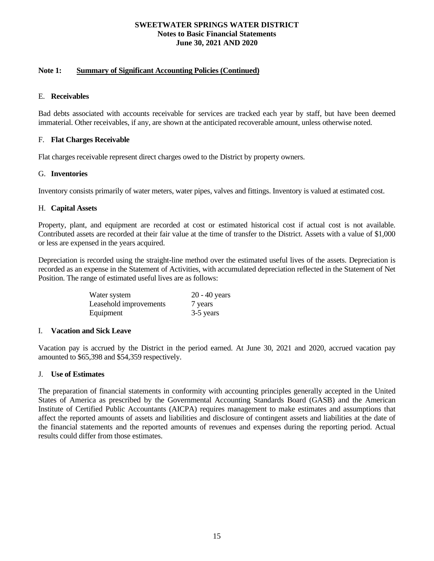#### **Note 1: Summary of Significant Accounting Policies (Continued)**

#### E. **Receivables**

Bad debts associated with accounts receivable for services are tracked each year by staff, but have been deemed immaterial. Other receivables, if any, are shown at the anticipated recoverable amount, unless otherwise noted.

## F. **Flat Charges Receivable**

Flat charges receivable represent direct charges owed to the District by property owners.

## G. **Inventories**

Inventory consists primarily of water meters, water pipes, valves and fittings. Inventory is valued at estimated cost.

#### H. **Capital Assets**

Property, plant, and equipment are recorded at cost or estimated historical cost if actual cost is not available. Contributed assets are recorded at their fair value at the time of transfer to the District. Assets with a value of \$1,000 or less are expensed in the years acquired.

Depreciation is recorded using the straight-line method over the estimated useful lives of the assets. Depreciation is recorded as an expense in the Statement of Activities, with accumulated depreciation reflected in the Statement of Net Position. The range of estimated useful lives are as follows:

| Water system           | $20 - 40$ years |
|------------------------|-----------------|
| Leasehold improvements | 7 years         |
| Equipment              | 3-5 years       |

#### I. **Vacation and Sick Leave**

Vacation pay is accrued by the District in the period earned. At June 30, 2021 and 2020, accrued vacation pay amounted to \$65,398 and \$54,359 respectively.

#### J. **Use of Estimates**

The preparation of financial statements in conformity with accounting principles generally accepted in the United States of America as prescribed by the Governmental Accounting Standards Board (GASB) and the American Institute of Certified Public Accountants (AICPA) requires management to make estimates and assumptions that affect the reported amounts of assets and liabilities and disclosure of contingent assets and liabilities at the date of the financial statements and the reported amounts of revenues and expenses during the reporting period. Actual results could differ from those estimates.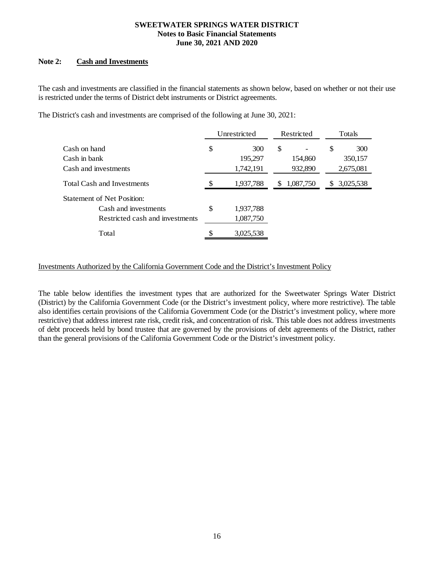#### **Note 2: Cash and Investments**

The cash and investments are classified in the financial statements as shown below, based on whether or not their use is restricted under the terms of District debt instruments or District agreements.

The District's cash and investments are comprised of the following at June 30, 2021:

|                                   |    | Unrestricted |    | Restricted |     | Totals    |  |
|-----------------------------------|----|--------------|----|------------|-----|-----------|--|
| Cash on hand                      | \$ | 300          | \$ |            | \$  | 300       |  |
| Cash in bank                      |    | 195,297      |    | 154,860    |     | 350,157   |  |
| Cash and investments              |    | 1,742,191    |    | 932,890    |     | 2,675,081 |  |
| <b>Total Cash and Investments</b> |    | 1,937,788    | S. | 1,087,750  | \$. | 3,025,538 |  |
| <b>Statement of Net Position:</b> |    |              |    |            |     |           |  |
| Cash and investments              | \$ | 1,937,788    |    |            |     |           |  |
| Restricted cash and investments   |    | 1,087,750    |    |            |     |           |  |
| Total                             |    | 3,025,538    |    |            |     |           |  |

Investments Authorized by the California Government Code and the District's Investment Policy

The table below identifies the investment types that are authorized for the Sweetwater Springs Water District (District) by the California Government Code (or the District's investment policy, where more restrictive). The table also identifies certain provisions of the California Government Code (or the District's investment policy, where more restrictive) that address interest rate risk, credit risk, and concentration of risk. This table does not address investments of debt proceeds held by bond trustee that are governed by the provisions of debt agreements of the District, rather than the general provisions of the California Government Code or the District's investment policy.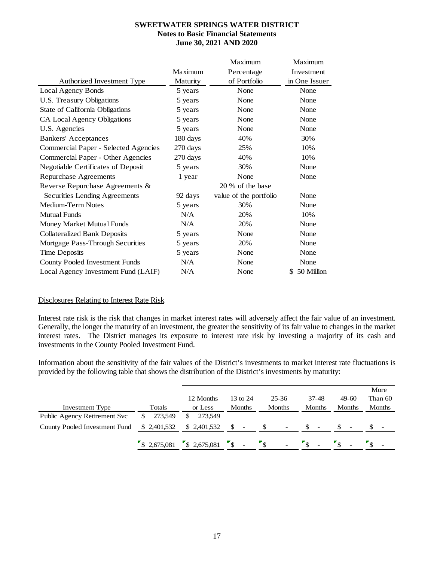|                                       |          | Maximum                | Maximum          |
|---------------------------------------|----------|------------------------|------------------|
|                                       | Maximum  | Percentage             | Investment       |
| Authorized Investment Type            | Maturity | of Portfolio           | in One Issuer    |
| Local Agency Bonds                    | 5 years  | None                   | None             |
| U.S. Treasury Obligations             | 5 years  | None                   | None             |
| State of California Obligations       | 5 years  | None                   | None             |
| CA Local Agency Obligations           | 5 years  | None                   | None             |
| U.S. Agencies                         | 5 years  | None                   | None             |
| <b>Bankers' Acceptances</b>           | 180 days | 40%                    | 30%              |
| Commercial Paper - Selected Agencies  | 270 days | 25%                    | 10%              |
| Commercial Paper - Other Agencies     | 270 days | 40%                    | 10%              |
| Negotiable Certificates of Deposit    | 5 years  | 30%                    | None             |
| Repurchase Agreements                 | 1 year   | None                   | None             |
| Reverse Repurchase Agreements &       |          | 20 % of the base       |                  |
| Securities Lending Agreements         | 92 days  | value of the portfolio | None             |
| Medium-Term Notes                     | 5 years  | 30%                    | None             |
| <b>Mutual Funds</b>                   | N/A      | 20%                    | 10%              |
| Money Market Mutual Funds             | N/A      | 20%                    | None             |
| <b>Collateralized Bank Deposits</b>   | 5 years  | None                   | None             |
| Mortgage Pass-Through Securities      | 5 years  | 20%                    | None             |
| <b>Time Deposits</b>                  | 5 years  | None                   | None             |
| <b>County Pooled Investment Funds</b> | N/A      | None                   | None             |
| Local Agency Investment Fund (LAIF)   | N/A      | None                   | 50 Million<br>\$ |

#### Disclosures Relating to Interest Rate Risk

Interest rate risk is the risk that changes in market interest rates will adversely affect the fair value of an investment. Generally, the longer the maturity of an investment, the greater the sensitivity of its fair value to changes in the market interest rates. The District manages its exposure to interest rate risk by investing a majority of its cash and investments in the County Pooled Investment Fund.

Information about the sensitivity of the fair values of the District's investments to market interest rate fluctuations is provided by the following table that shows the distribution of the District's investments by maturity:

|                               |              |              |               |                          |               |         | More    |
|-------------------------------|--------------|--------------|---------------|--------------------------|---------------|---------|---------|
|                               |              | 12 Months    | 13 to 24      | 25-36                    | 37-48         | $49-60$ | Than 60 |
| <b>Investment Type</b>        | Totals       | or Less      | <b>Months</b> | <b>Months</b>            | <b>Months</b> | Months  | Months  |
| Public Agency Retirement Svc  | 273.549      | 273.549<br>S |               |                          |               |         |         |
| County Pooled Investment Fund | \$ 2,401,532 | \$ 2,401,532 |               | $\overline{\phantom{a}}$ |               |         |         |
|                               | \$2,675,081  | \$2,675,081  | $\mathcal{S}$ | $\overline{\phantom{a}}$ |               |         |         |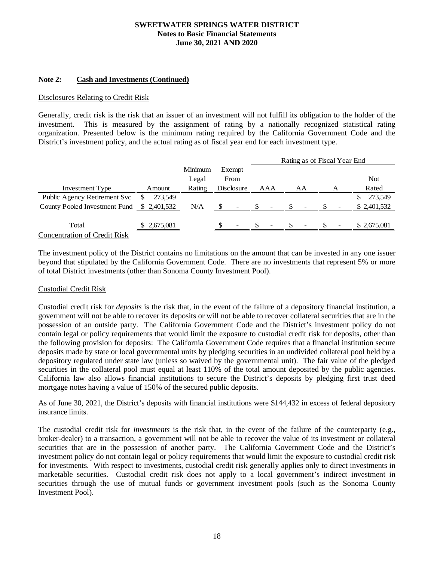#### **Note 2: Cash and Investments (Continued)**

#### Disclosures Relating to Credit Risk

Generally, credit risk is the risk that an issuer of an investment will not fulfill its obligation to the holder of the investment. This is measured by the assignment of rating by a nationally recognized statistical rating organization. Presented below is the minimum rating required by the California Government Code and the District's investment policy, and the actual rating as of fiscal year end for each investment type.

|                                     |               |                  |     |                          | Rating as of Fiscal Year End |                          |    |                          |   |             |
|-------------------------------------|---------------|------------------|-----|--------------------------|------------------------------|--------------------------|----|--------------------------|---|-------------|
|                                     |               | Minimum<br>Legal |     | Exempt<br>From           |                              |                          |    |                          |   | <b>Not</b>  |
| Investment Type                     | Amount        | Rating           |     | Disclosure               |                              | AAA                      |    | AA                       | A | Rated       |
| Public Agency Retirement Svc        | 273,549<br>æ. |                  |     |                          |                              |                          |    |                          |   | 273,549     |
| County Pooled Investment Fund       | \$ 2,401,532  | N/A              | \$. | $\overline{\phantom{a}}$ | -S                           | $\overline{\phantom{a}}$ | -S | $\overline{\phantom{a}}$ |   | \$2,401,532 |
|                                     |               |                  |     |                          |                              |                          |    |                          |   |             |
| Total                               | \$2,675,081   |                  |     | $\overline{\phantom{0}}$ |                              | $\overline{\phantom{0}}$ | £. | $\overline{\phantom{a}}$ |   | \$2,675,081 |
| <b>Concentration of Credit Risk</b> |               |                  |     |                          |                              |                          |    |                          |   |             |

The investment policy of the District contains no limitations on the amount that can be invested in any one issuer beyond that stipulated by the California Government Code. There are no investments that represent 5% or more of total District investments (other than Sonoma County Investment Pool).

#### Custodial Credit Risk

Custodial credit risk for *deposits* is the risk that, in the event of the failure of a depository financial institution, a government will not be able to recover its deposits or will not be able to recover collateral securities that are in the possession of an outside party. The California Government Code and the District's investment policy do not contain legal or policy requirements that would limit the exposure to custodial credit risk for deposits, other than the following provision for deposits: The California Government Code requires that a financial institution secure deposits made by state or local governmental units by pledging securities in an undivided collateral pool held by a depository regulated under state law (unless so waived by the governmental unit). The fair value of the pledged securities in the collateral pool must equal at least 110% of the total amount deposited by the public agencies. California law also allows financial institutions to secure the District's deposits by pledging first trust deed mortgage notes having a value of 150% of the secured public deposits.

As of June 30, 2021, the District's deposits with financial institutions were \$144,432 in excess of federal depository insurance limits.

The custodial credit risk for *investments* is the risk that, in the event of the failure of the counterparty (e.g., broker-dealer) to a transaction, a government will not be able to recover the value of its investment or collateral securities that are in the possession of another party. The California Government Code and the District's investment policy do not contain legal or policy requirements that would limit the exposure to custodial credit risk for investments. With respect to investments, custodial credit risk generally applies only to direct investments in marketable securities. Custodial credit risk does not apply to a local government's indirect investment in securities through the use of mutual funds or government investment pools (such as the Sonoma County Investment Pool).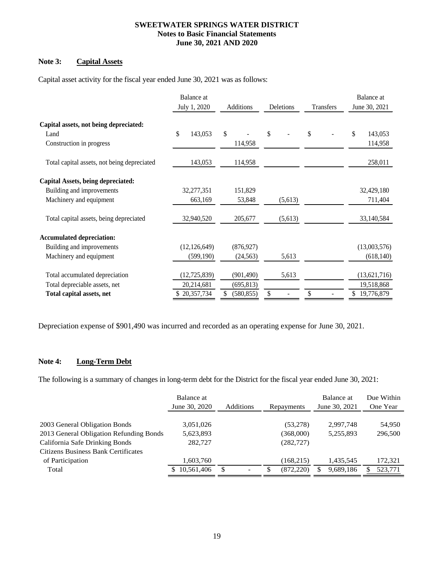## **Note 3: Capital Assets**

Capital asset activity for the fiscal year ended June 30, 2021 was as follows:

|                                             | Balance at<br>July 1, 2020 | Additions        | Deletions | Transfers | Balance at<br>June 30, 2021 |  |
|---------------------------------------------|----------------------------|------------------|-----------|-----------|-----------------------------|--|
| Capital assets, not being depreciated:      |                            |                  |           |           |                             |  |
| Land                                        | \$<br>143,053              | \$               | \$        | \$        | \$<br>143,053               |  |
| Construction in progress                    |                            | 114,958          |           |           | 114,958                     |  |
| Total capital assets, not being depreciated | 143,053                    | 114,958          |           |           | 258,011                     |  |
| Capital Assets, being depreciated:          |                            |                  |           |           |                             |  |
| Building and improvements                   | 32,277,351                 | 151,829          |           |           | 32,429,180                  |  |
| Machinery and equipment                     | 663,169                    | 53,848           | (5,613)   |           | 711,404                     |  |
| Total capital assets, being depreciated     | 32,940,520                 | 205,677          | (5,613)   |           | 33,140,584                  |  |
| <b>Accumulated depreciation:</b>            |                            |                  |           |           |                             |  |
| Building and improvements                   | (12, 126, 649)             | (876, 927)       |           |           | (13,003,576)                |  |
| Machinery and equipment                     | (599, 190)                 | (24, 563)        | 5,613     |           | (618, 140)                  |  |
| Total accumulated depreciation              | (12, 725, 839)             | (901, 490)       | 5,613     |           | (13,621,716)                |  |
| Total depreciable assets, net               | 20,214,681                 | (695, 813)       |           |           | 19,518,868                  |  |
| Total capital assets, net                   | \$20,357,734               | \$<br>(580, 855) | \$        | \$        | 19,776,879<br>\$            |  |

Depreciation expense of \$901,490 was incurred and recorded as an operating expense for June 30, 2021.

#### **Note 4: Long-Term Debt**

The following is a summary of changes in long-term debt for the District for the fiscal year ended June 30, 2021:

|                                         | Balance at<br>June 30, 2020 | Additions | Repayments | Balance at<br>June 30, 2021 | Due Within<br>One Year |
|-----------------------------------------|-----------------------------|-----------|------------|-----------------------------|------------------------|
|                                         |                             |           |            |                             |                        |
| 2003 General Obligation Bonds           | 3,051,026                   |           | (53,278)   | 2,997,748                   | 54,950                 |
| 2013 General Obligation Refunding Bonds | 5,623,893                   |           | (368,000)  | 5.255.893                   | 296,500                |
| California Safe Drinking Bonds          | 282,727                     |           | (282, 727) |                             |                        |
| Citizens Business Bank Certificates     |                             |           |            |                             |                        |
| of Participation                        | 1,603,760                   |           | (168, 215) | 1,435,545                   | 172,321                |
| Total                                   | 10,561,406                  | \$        | (872, 220) | 9,689,186                   | 523,771                |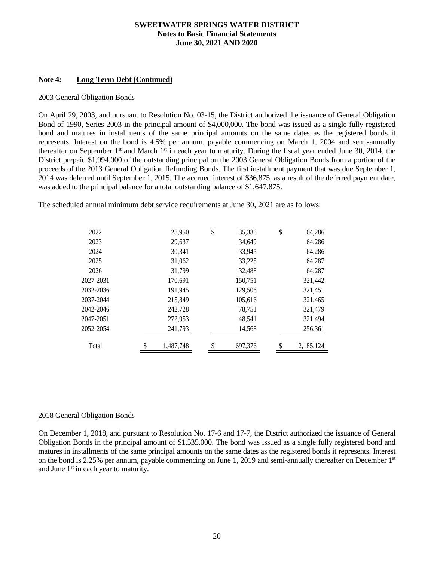#### **Note 4: Long-Term Debt (Continued)**

#### 2003 General Obligation Bonds

On April 29, 2003, and pursuant to Resolution No. 03-15, the District authorized the issuance of General Obligation Bond of 1990, Series 2003 in the principal amount of \$4,000,000. The bond was issued as a single fully registered bond and matures in installments of the same principal amounts on the same dates as the registered bonds it represents. Interest on the bond is 4.5% per annum, payable commencing on March 1, 2004 and semi-annually thereafter on September 1st and March 1st in each year to maturity. During the fiscal year ended June 30, 2014, the District prepaid \$1,994,000 of the outstanding principal on the 2003 General Obligation Bonds from a portion of the proceeds of the 2013 General Obligation Refunding Bonds. The first installment payment that was due September 1, 2014 was deferred until September 1, 2015. The accrued interest of \$36,875, as a result of the deferred payment date, was added to the principal balance for a total outstanding balance of \$1,647,875.

The scheduled annual minimum debt service requirements at June 30, 2021 are as follows:

| 2022      | 28,950          | \$<br>35,336  | \$<br>64,286    |
|-----------|-----------------|---------------|-----------------|
| 2023      | 29,637          | 34,649        | 64,286          |
| 2024      | 30,341          | 33,945        | 64,286          |
| 2025      | 31,062          | 33,225        | 64,287          |
| 2026      | 31.799          | 32,488        | 64,287          |
| 2027-2031 | 170.691         | 150,751       | 321,442         |
| 2032-2036 | 191,945         | 129,506       | 321,451         |
| 2037-2044 | 215,849         | 105,616       | 321,465         |
| 2042-2046 | 242,728         | 78,751        | 321,479         |
| 2047-2051 | 272,953         | 48,541        | 321,494         |
| 2052-2054 | 241,793         | 14,568        | 256,361         |
| Total     | \$<br>1.487.748 | \$<br>697.376 | \$<br>2.185.124 |

#### 2018 General Obligation Bonds

On December 1, 2018, and pursuant to Resolution No. 17-6 and 17-7, the District authorized the issuance of General Obligation Bonds in the principal amount of \$1,535.000. The bond was issued as a single fully registered bond and matures in installments of the same principal amounts on the same dates as the registered bonds it represents. Interest on the bond is 2.25% per annum, payable commencing on June 1, 2019 and semi-annually thereafter on December 1st and June 1<sup>st</sup> in each year to maturity.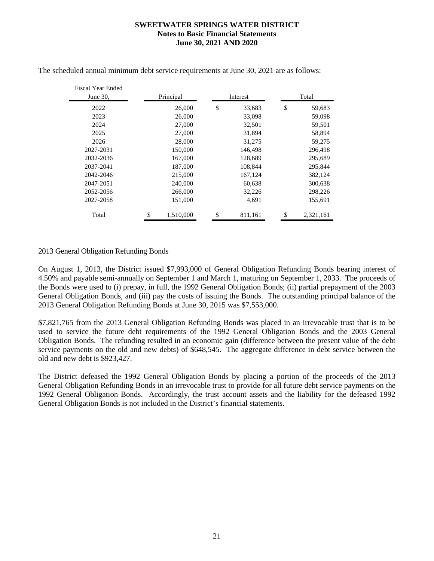| Fiscal Year Ended<br>June $30$ , | Principal | Interest      | Total        |
|----------------------------------|-----------|---------------|--------------|
| 2022                             | 26,000    | \$<br>33,683  | \$<br>59,683 |
| 2023                             | 26,000    | 33,098        | 59,098       |
| 2024                             | 27,000    | 32,501        | 59,501       |
| 2025                             | 27,000    | 31.894        | 58,894       |
| 2026                             | 28,000    | 31,275        | 59,275       |
| 2027-2031                        | 150,000   | 146,498       | 296,498      |
| 2032-2036                        | 167,000   | 128,689       | 295,689      |
| 2037-2041                        | 187,000   | 108.844       | 295,844      |
| 2042-2046                        | 215,000   | 167,124       | 382,124      |
| 2047-2051                        | 240,000   | 60,638        | 300,638      |
| 2052-2056                        | 266,000   | 32,226        | 298,226      |
| 2027-2058                        | 151,000   | 4,691         | 155,691      |
| Total                            | 1,510,000 | \$<br>811.161 | 2,321,161    |

The scheduled annual minimum debt service requirements at June 30, 2021 are as follows:

## 2013 General Obligation Refunding Bonds

On August 1, 2013, the District issued \$7,993,000 of General Obligation Refunding Bonds bearing interest of 4.50% and payable semi-annually on September 1 and March 1, maturing on September 1, 2033. The proceeds of the Bonds were used to (i) prepay, in full, the 1992 General Obligation Bonds; (ii) partial prepayment of the 2003 General Obligation Bonds, and (iii) pay the costs of issuing the Bonds. The outstanding principal balance of the 2013 General Obligation Refunding Bonds at June 30, 2015 was \$7,553,000.

\$7,821,765 from the 2013 General Obligation Refunding Bonds was placed in an irrevocable trust that is to be used to service the future debt requirements of the 1992 General Obligation Bonds and the 2003 General Obligation Bonds. The refunding resulted in an economic gain (difference between the present value of the debt service payments on the old and new debts) of \$648,545. The aggregate difference in debt service between the old and new debt is \$923,427.

The District defeased the 1992 General Obligation Bonds by placing a portion of the proceeds of the 2013 General Obligation Refunding Bonds in an irrevocable trust to provide for all future debt service payments on the 1992 General Obligation Bonds. Accordingly, the trust account assets and the liability for the defeased 1992 General Obligation Bonds is not included in the District's financial statements.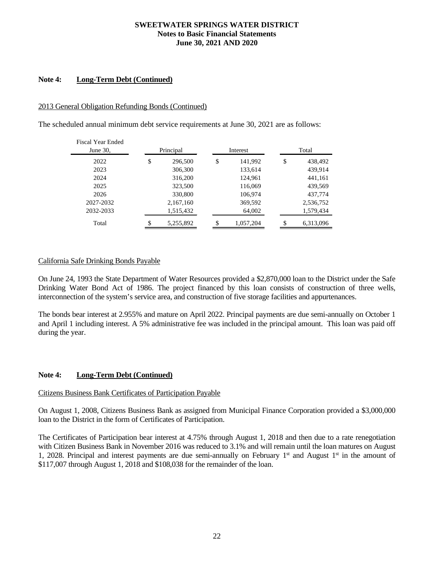#### **Note 4: Long-Term Debt (Continued)**

#### 2013 General Obligation Refunding Bonds (Continued)

The scheduled annual minimum debt service requirements at June 30, 2021 are as follows:

| Fiscal Year Ended<br>June $30$ , | Principal       |    | Interest  | Total         |
|----------------------------------|-----------------|----|-----------|---------------|
| 2022                             | \$<br>296,500   | \$ | 141,992   | \$<br>438,492 |
| 2023                             | 306,300         |    | 133,614   | 439,914       |
| 2024                             | 316,200         |    | 124,961   | 441,161       |
| 2025                             | 323,500         |    | 116,069   | 439,569       |
| 2026                             | 330,800         |    | 106,974   | 437,774       |
| 2027-2032                        | 2,167,160       |    | 369,592   | 2,536,752     |
| 2032-2033                        | 1,515,432       |    | 64,002    | 1,579,434     |
| Total                            | \$<br>5,255,892 | S  | 1,057,204 | 6,313,096     |

#### California Safe Drinking Bonds Payable

On June 24, 1993 the State Department of Water Resources provided a \$2,870,000 loan to the District under the Safe Drinking Water Bond Act of 1986. The project financed by this loan consists of construction of three wells, interconnection of the system's service area, and construction of five storage facilities and appurtenances.

The bonds bear interest at 2.955% and mature on April 2022. Principal payments are due semi-annually on October 1 and April 1 including interest. A 5% administrative fee was included in the principal amount. This loan was paid off during the year.

#### **Note 4: Long-Term Debt (Continued)**

#### Citizens Business Bank Certificates of Participation Payable

On August 1, 2008, Citizens Business Bank as assigned from Municipal Finance Corporation provided a \$3,000,000 loan to the District in the form of Certificates of Participation.

The Certificates of Participation bear interest at 4.75% through August 1, 2018 and then due to a rate renegotiation with Citizen Business Bank in November 2016 was reduced to 3.1% and will remain until the loan matures on August 1, 2028. Principal and interest payments are due semi-annually on February  $1<sup>st</sup>$  and August  $1<sup>st</sup>$  in the amount of \$117,007 through August 1, 2018 and \$108,038 for the remainder of the loan.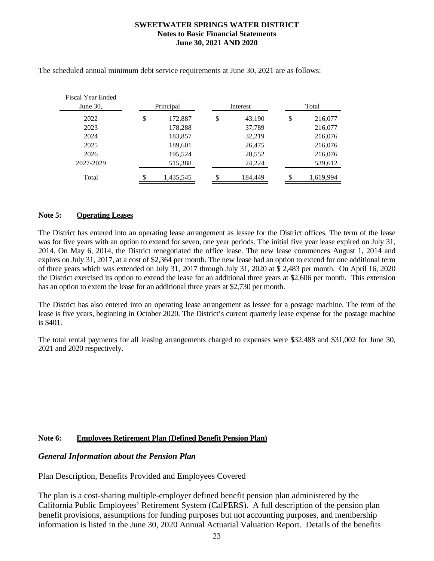| Fiscal Year Ended<br>June $30$ , | Principal       | Interest      |    | Total     |
|----------------------------------|-----------------|---------------|----|-----------|
| 2022                             | \$<br>172,887   | \$<br>43,190  | \$ | 216,077   |
| 2023                             | 178,288         | 37,789        |    | 216,077   |
| 2024                             | 183,857         | 32,219        |    | 216,076   |
| 2025                             | 189,601         | 26,475        |    | 216,076   |
| 2026                             | 195,524         | 20,552        |    | 216,076   |
| 2027-2029                        | 515,388         | 24,224        |    | 539,612   |
| Total                            | \$<br>1,435,545 | \$<br>184,449 | S  | 1,619,994 |

The scheduled annual minimum debt service requirements at June 30, 2021 are as follows:

## **Note 5: Operating Leases**

The District has entered into an operating lease arrangement as lessee for the District offices. The term of the lease was for five years with an option to extend for seven, one year periods. The initial five year lease expired on July 31, 2014. On May 6, 2014, the District renegotiated the office lease. The new lease commences August 1, 2014 and expires on July 31, 2017, at a cost of \$2,364 per month. The new lease had an option to extend for one additional term of three years which was extended on July 31, 2017 through July 31, 2020 at \$ 2,483 per month. On April 16, 2020 the District exercised its option to extend the lease for an additional three years at \$2,606 per month. This extension has an option to extent the lease for an additional three years at \$2,730 per month.

The District has also entered into an operating lease arrangement as lessee for a postage machine. The term of the lease is five years, beginning in October 2020. The District's current quarterly lease expense for the postage machine is \$401.

The total rental payments for all leasing arrangements charged to expenses were \$32,488 and \$31,002 for June 30, 2021 and 2020 respectively.

## **Note 6: Employees Retirement Plan (Defined Benefit Pension Plan)**

## *General Information about the Pension Plan*

## Plan Description, Benefits Provided and Employees Covered

The plan is a cost-sharing multiple-employer defined benefit pension plan administered by the California Public Employees' Retirement System (CalPERS). A full description of the pension plan benefit provisions, assumptions for funding purposes but not accounting purposes, and membership information is listed in the June 30, 2020 Annual Actuarial Valuation Report. Details of the benefits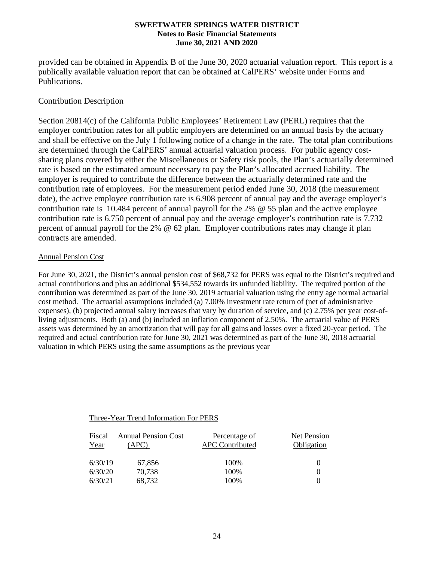provided can be obtained in Appendix B of the June 30, 2020 actuarial valuation report. This report is a publically available valuation report that can be obtained at CalPERS' website under Forms and Publications.

## Contribution Description

Section 20814(c) of the California Public Employees' Retirement Law (PERL) requires that the employer contribution rates for all public employers are determined on an annual basis by the actuary and shall be effective on the July 1 following notice of a change in the rate. The total plan contributions are determined through the CalPERS' annual actuarial valuation process. For public agency costsharing plans covered by either the Miscellaneous or Safety risk pools, the Plan's actuarially determined rate is based on the estimated amount necessary to pay the Plan's allocated accrued liability. The employer is required to contribute the difference between the actuarially determined rate and the contribution rate of employees. For the measurement period ended June 30, 2018 (the measurement date), the active employee contribution rate is 6.908 percent of annual pay and the average employer's contribution rate is 10.484 percent of annual payroll for the 2% @ 55 plan and the active employee contribution rate is 6.750 percent of annual pay and the average employer's contribution rate is 7.732 percent of annual payroll for the 2% @ 62 plan. Employer contributions rates may change if plan contracts are amended.

## Annual Pension Cost

For June 30, 2021, the District's annual pension cost of \$68,732 for PERS was equal to the District's required and actual contributions and plus an additional \$534,552 towards its unfunded liability. The required portion of the contribution was determined as part of the June 30, 2019 actuarial valuation using the entry age normal actuarial cost method. The actuarial assumptions included (a) 7.00% investment rate return of (net of administrative expenses), (b) projected annual salary increases that vary by duration of service, and (c) 2.75% per year cost-ofliving adjustments. Both (a) and (b) included an inflation component of 2.50%. The actuarial value of PERS assets was determined by an amortization that will pay for all gains and losses over a fixed 20-year period. The required and actual contribution rate for June 30, 2021 was determined as part of the June 30, 2018 actuarial valuation in which PERS using the same assumptions as the previous year

## Three-Year Trend Information For PERS

| Fiscal<br>Year | <b>Annual Pension Cost</b><br>APC) | Percentage of<br><b>APC Contributed</b> | Net Pension<br>Obligation |
|----------------|------------------------------------|-----------------------------------------|---------------------------|
| 6/30/19        | 67,856                             | 100%                                    |                           |
| 6/30/20        | 70,738                             | 100%                                    |                           |
| 6/30/21        | 68,732                             | 100%                                    |                           |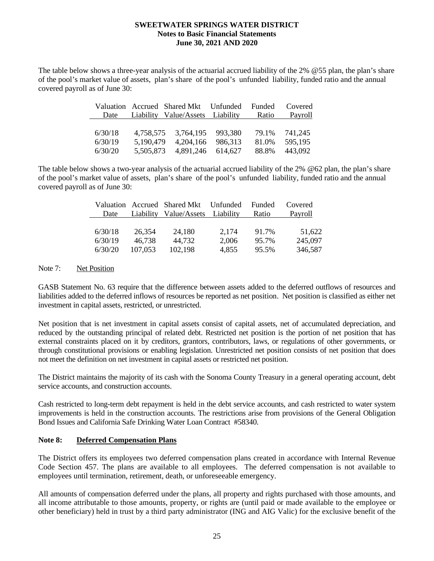The table below shows a three-year analysis of the actuarial accrued liability of the 2% @55 plan, the plan's share of the pool's market value of assets, plan's share of the pool's unfunded liability, funded ratio and the annual covered payroll as of June 30:

|         | Valuation Accrued Shared Mkt Unfunded Funded Covered |       |         |
|---------|------------------------------------------------------|-------|---------|
|         | Date Liability Value/Assets Liability Ratio          |       | Payroll |
|         |                                                      |       |         |
| 6/30/18 | 4,758,575 3,764,195 993,380                          | 79.1% | 741.245 |
| 6/30/19 | 5,190,479 4,204,166 986,313                          | 81.0% | 595.195 |
| 6/30/20 | 5,505,873 4,891,246 614,627                          | 88.8% | 443,092 |

The table below shows a two-year analysis of the actuarial accrued liability of the 2% @62 plan, the plan's share of the pool's market value of assets, plan's share of the pool's unfunded liability, funded ratio and the annual covered payroll as of June 30:

|         |         | Valuation Accrued Shared Mkt Unfunded Funded |       |       | Covered |
|---------|---------|----------------------------------------------|-------|-------|---------|
| Date    |         | Liability Value/Assets Liability             |       | Ratio | Payroll |
|         |         |                                              |       |       |         |
| 6/30/18 | 26.354  | 24.180                                       | 2.174 | 91.7% | 51.622  |
| 6/30/19 | 46.738  | 44.732                                       | 2.006 | 95.7% | 245,097 |
| 6/30/20 | 107,053 | 102,198                                      | 4,855 | 95.5% | 346,587 |

Note 7: Net Position

GASB Statement No. 63 require that the difference between assets added to the deferred outflows of resources and liabilities added to the deferred inflows of resources be reported as net position. Net position is classified as either net investment in capital assets, restricted, or unrestricted.

Net position that is net investment in capital assets consist of capital assets, net of accumulated depreciation, and reduced by the outstanding principal of related debt. Restricted net position is the portion of net position that has external constraints placed on it by creditors, grantors, contributors, laws, or regulations of other governments, or through constitutional provisions or enabling legislation. Unrestricted net position consists of net position that does not meet the definition on net investment in capital assets or restricted net position.

The District maintains the majority of its cash with the Sonoma County Treasury in a general operating account, debt service accounts, and construction accounts.

Cash restricted to long-term debt repayment is held in the debt service accounts, and cash restricted to water system improvements is held in the construction accounts. The restrictions arise from provisions of the General Obligation Bond Issues and California Safe Drinking Water Loan Contract #58340.

### **Note 8: Deferred Compensation Plans**

The District offers its employees two deferred compensation plans created in accordance with Internal Revenue Code Section 457. The plans are available to all employees. The deferred compensation is not available to employees until termination, retirement, death, or unforeseeable emergency.

All amounts of compensation deferred under the plans, all property and rights purchased with those amounts, and all income attributable to those amounts, property, or rights are (until paid or made available to the employee or other beneficiary) held in trust by a third party administrator (ING and AIG Valic) for the exclusive benefit of the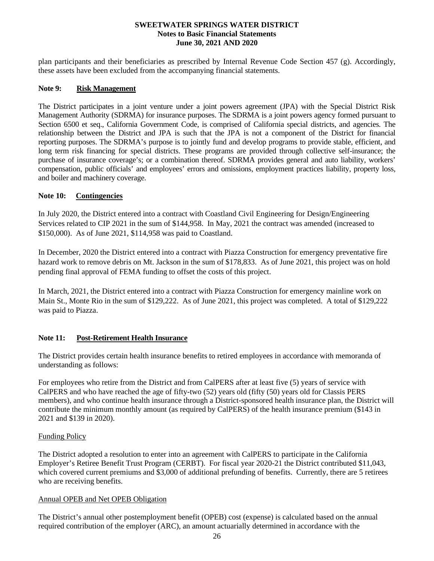plan participants and their beneficiaries as prescribed by Internal Revenue Code Section 457 (g). Accordingly, these assets have been excluded from the accompanying financial statements.

#### **Note 9: Risk Management**

The District participates in a joint venture under a joint powers agreement (JPA) with the Special District Risk Management Authority (SDRMA) for insurance purposes. The SDRMA is a joint powers agency formed pursuant to Section 6500 et seq., California Government Code, is comprised of California special districts, and agencies. The relationship between the District and JPA is such that the JPA is not a component of the District for financial reporting purposes. The SDRMA's purpose is to jointly fund and develop programs to provide stable, efficient, and long term risk financing for special districts. These programs are provided through collective self-insurance; the purchase of insurance coverage's; or a combination thereof. SDRMA provides general and auto liability, workers' compensation, public officials' and employees' errors and omissions, employment practices liability, property loss, and boiler and machinery coverage.

## **Note 10: Contingencies**

In July 2020, the District entered into a contract with Coastland Civil Engineering for Design/Engineering Services related to CIP 2021 in the sum of \$144,958. In May, 2021 the contract was amended (increased to \$150,000). As of June 2021, \$114,958 was paid to Coastland.

In December, 2020 the District entered into a contract with Piazza Construction for emergency preventative fire hazard work to remove debris on Mt. Jackson in the sum of \$178,833. As of June 2021, this project was on hold pending final approval of FEMA funding to offset the costs of this project.

In March, 2021, the District entered into a contract with Piazza Construction for emergency mainline work on Main St., Monte Rio in the sum of \$129,222. As of June 2021, this project was completed. A total of \$129,222 was paid to Piazza.

#### **Note 11: Post-Retirement Health Insurance**

The District provides certain health insurance benefits to retired employees in accordance with memoranda of understanding as follows:

For employees who retire from the District and from CalPERS after at least five (5) years of service with CalPERS and who have reached the age of fifty-two (52) years old (fifty (50) years old for Classis PERS members), and who continue health insurance through a District-sponsored health insurance plan, the District will contribute the minimum monthly amount (as required by CalPERS) of the health insurance premium (\$143 in 2021 and \$139 in 2020).

#### Funding Policy

The District adopted a resolution to enter into an agreement with CalPERS to participate in the California Employer's Retiree Benefit Trust Program (CERBT). For fiscal year 2020-21 the District contributed \$11,043, which covered current premiums and \$3,000 of additional prefunding of benefits. Currently, there are 5 retirees who are receiving benefits.

#### Annual OPEB and Net OPEB Obligation

The District's annual other postemployment benefit (OPEB) cost (expense) is calculated based on the annual required contribution of the employer (ARC), an amount actuarially determined in accordance with the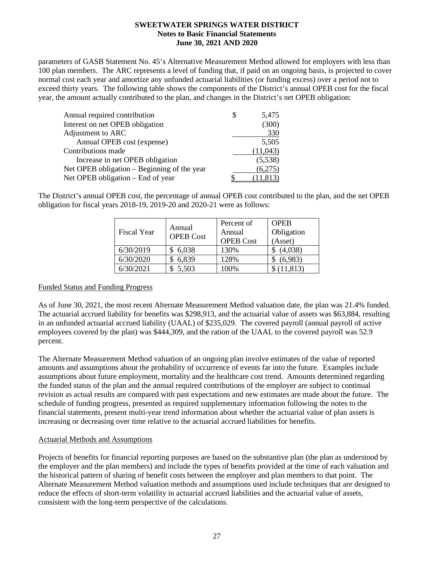parameters of GASB Statement No. 45's Alternative Measurement Method allowed for employers with less than 100 plan members. The ARC represents a level of funding that, if paid on an ongoing basis, is projected to cover normal cost each year and amortize any unfunded actuarial liabilities (or funding excess) over a period not to exceed thirty years. The following table shows the components of the District's annual OPEB cost for the fiscal year, the amount actually contributed to the plan, and changes in the District's net OPEB obligation:

| 5,475     |
|-----------|
| (300)     |
| 330       |
| 5,505     |
| (11,043)  |
| (5,538)   |
| (6,275)   |
| (11, 813) |
|           |

The District's annual OPEB cost, the percentage of annual OPEB cost contributed to the plan, and the net OPEB obligation for fiscal years 2018-19, 2019-20 and 2020-21 were as follows:

| Fiscal Year | Annual<br><b>OPEB Cost</b> | Percent of<br>Annual<br><b>OPEB Cost</b> | <b>OPER</b><br>Obligation<br>(Asset) |
|-------------|----------------------------|------------------------------------------|--------------------------------------|
| 6/30/2019   | 6,038                      | 130%                                     | (4,038)                              |
| 6/30/2020   | 6,839                      | 128%                                     | (6,983)                              |
| 6/30/2021   | \$5,503                    | 100%                                     | \$(11,813)                           |

#### Funded Status and Funding Progress

As of June 30, 2021, the most recent Alternate Measurement Method valuation date, the plan was 21.4% funded. The actuarial accrued liability for benefits was \$298,913, and the actuarial value of assets was \$63,884, resulting in an unfunded actuarial accrued liability (UAAL) of \$235,029. The covered payroll (annual payroll of active employees covered by the plan) was \$444,309, and the ration of the UAAL to the covered payroll was 52.9 percent.

The Alternate Measurement Method valuation of an ongoing plan involve estimates of the value of reported amounts and assumptions about the probability of occurrence of events far into the future. Examples include assumptions about future employment, mortality and the healthcare cost trend. Amounts determined regarding the funded status of the plan and the annual required contributions of the employer are subject to continual revision as actual results are compared with past expectations and new estimates are made about the future. The schedule of funding progress, presented as required supplementary information following the notes to the financial statements, present multi-year trend information about whether the actuarial value of plan assets is increasing or decreasing over time relative to the actuarial accrued liabilities for benefits.

#### Actuarial Methods and Assumptions

Projects of benefits for financial reporting purposes are based on the substantive plan (the plan as understood by the employer and the plan members) and include the types of benefits provided at the time of each valuation and the historical pattern of sharing of benefit costs between the employer and plan members to that point. The Alternate Measurement Method valuation methods and assumptions used include techniques that are designed to reduce the effects of short-term volatility in actuarial accrued liabilities and the actuarial value of assets, consistent with the long-term perspective of the calculations.